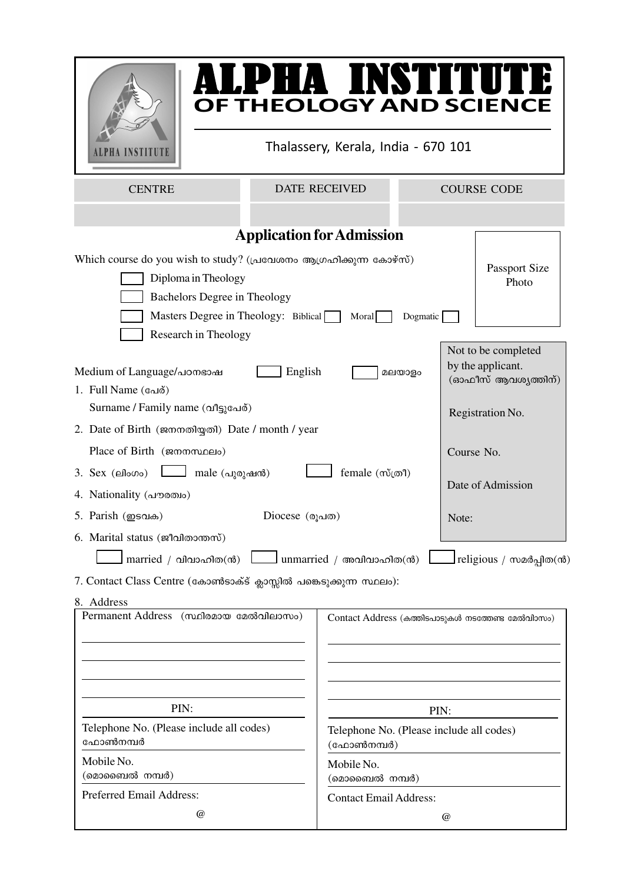

# ALPHA INSTITUTE **FALLE HEAD AND SCIENCE**<br>OF THEOLOGY AND SCIENCE

Thalassery, Kerala, India - 670 101

CENTRE DATE RECEIVED

COURSE CODE

|                                                                                                                                              | <b>Application for Admission</b>                       |                                                                |
|----------------------------------------------------------------------------------------------------------------------------------------------|--------------------------------------------------------|----------------------------------------------------------------|
| Which course do you wish to study? (പ്രവേശനം ആഗ്രഹിക്കുന്ന കോഴ്സ്)<br>Diploma in Theology<br><b>Bachelors Degree in Theology</b>             | Passport Size<br>Photo                                 |                                                                |
| Masters Degree in Theology: Biblical                                                                                                         | Moral<br>Dogmatic                                      |                                                                |
| Research in Theology<br>Medium of Language/ лотвом<br>English<br>1. Full Name (வேல்)                                                         | മലയാളം                                                 | Not to be completed<br>by the applicant.<br>(ഓഫീസ് ആവശൃത്തിന്) |
| Surname / Family name (வூதுவேര்)                                                                                                             |                                                        | Registration No.                                               |
| 2. Date of Birth (ജനനതിയ്യതി) Date / month / year                                                                                            |                                                        |                                                                |
| Place of Birth (gammanalo)                                                                                                                   |                                                        | Course No.                                                     |
| $3.$ Sex (ello $\infty$ o)<br>male (പുരുഷൻ)                                                                                                  | Date of Admission                                      |                                                                |
| 4. Nationality (drowno)                                                                                                                      |                                                        |                                                                |
| 5. Parish (ஐஸ்க)<br>Diocese $($ രൂപത $)$                                                                                                     | Note:                                                  |                                                                |
| 6. Marital status (ജീവിതാന്തസ്)<br>married / വിവാഹിത(ൻ)<br>7. Contact Class Centre (കോൺടാക്ട് ക്ലാസ്സിൽ പങ്കെടുക്കുന്ന സ്ഥലം):<br>8. Address | $\Box$ unmarried / അവിവാഹിത(ൻ)                         | religious / സമർപ്പിത(ൻ)                                        |
| <b>Permanent Address</b><br>(സ്ഥിരമായ മേൽവിലാസം)                                                                                             |                                                        | Contact Address (കത്തിടപാടുകൾ നടത്തേണ്ട മേൽവിാസം)              |
| PIN:                                                                                                                                         | PIN:                                                   |                                                                |
| Telephone No. (Please include all codes)<br>ഫോൺനമ്പർ                                                                                         | Telephone No. (Please include all codes)<br>(ഫോൺനമ്പർ) |                                                                |
| Mobile No.<br>(മൊബൈൽ നമ്പർ)                                                                                                                  | Mobile No.<br>(മൊബൈൽ നമ്പർ)                            |                                                                |
| Preferred Email Address:<br>$^{\copyright}$                                                                                                  | <b>Contact Email Address:</b>                          |                                                                |
|                                                                                                                                              |                                                        | $^{\copyright}$                                                |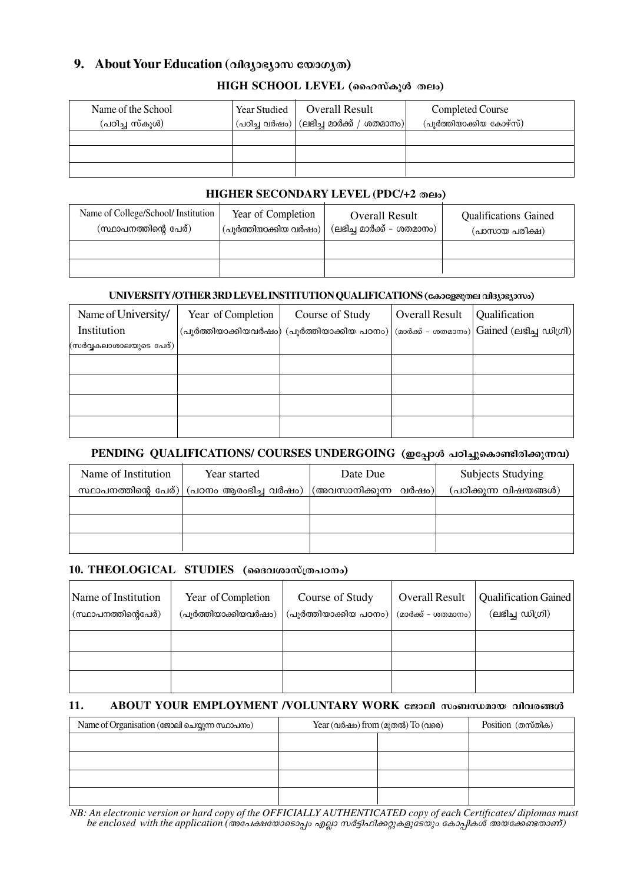## **9. About Your Education** (**ondergoinal** component

#### $HIGH$  SCHOOL LEVEL (ഹൈസ്കുൾ തലം)

| Name of the School<br>(പഠിച്ച സ്കൂൾ) | Year Studied | Overall Result<br>$^{\prime}$ (പഠിച്ച വർഷം) $\mid$ (ലഭിച്ച മാർക്ക് / ശതമാനം) $\mid$ | Completed Course<br>(പൂർത്തിയാക്കിയ കോഴ്സ്) |
|--------------------------------------|--------------|-------------------------------------------------------------------------------------|---------------------------------------------|
|                                      |              |                                                                                     |                                             |
|                                      |              |                                                                                     |                                             |
|                                      |              |                                                                                     |                                             |

#### **HIGHER SECONDARY LEVEL (PDC/+2 Xew)**

| Name of College/School/ Institution<br>Year of Completion<br>(സ്ഥാപനത്തിന്റെ പേര്)<br>(പുർത്തിയാക്കിയ വർഷം) |  | <b>Overall Result</b><br>(ലഭിച്ച മാർക്ക് – ശതമാനം) | <b>Qualifications Gained</b><br>(പാസായ പരീക്ഷ) |
|-------------------------------------------------------------------------------------------------------------|--|----------------------------------------------------|------------------------------------------------|
|                                                                                                             |  |                                                    |                                                |
|                                                                                                             |  |                                                    |                                                |

#### **UNIVERSITY/OTHER 3RD LEVEL INSTITUTION QUALIFICATIONS (casegrance algastamo)**

| Name of University/    | Year of Completion | Course of Study                                                        | <b>Overall Result</b> | Qualification                                                  |
|------------------------|--------------------|------------------------------------------------------------------------|-----------------------|----------------------------------------------------------------|
| Institution            |                    | $\langle$ പൂർത്തിയാക്കിയവർഷം) $\langle$ പൂർത്തിയാക്കിയ പഠനം) $\langle$ |                       | (മാർക്ക് - ശതമാനം) $ \text{Gained (eisl)}\text{d}(\text{ol}) $ |
| (സർവ്വകലാശാലയുടെ പേര്) |                    |                                                                        |                       |                                                                |
|                        |                    |                                                                        |                       |                                                                |
|                        |                    |                                                                        |                       |                                                                |
|                        |                    |                                                                        |                       |                                                                |
|                        |                    |                                                                        |                       |                                                                |

### PENDING QUALIFICATIONS/ COURSES UNDERGOING (ഇപ്പോൾ പഠിച്ചുകൊണ്ടിരിക്കുന്നവ)

| Name of Institution          | Year started         | Date Due             | Subjects Studying     |
|------------------------------|----------------------|----------------------|-----------------------|
| സ്ഥാപനത്തിന്റെ പേര്) $\vert$ | (പഠനം ആരംഭിച്ച വർഷം) | (അവസാനിക്കുന്ന വർഷം) | (പഠിക്കുന്ന വിഷയങ്ങൾ) |
|                              |                      |                      |                       |
|                              |                      |                      |                       |
|                              |                      |                      |                       |

#### **10. THEOLOGICAL STUDIES (ออสาเตวาญ)**

| Name of Institution<br>' (സ്ഥാപനത്തിന്റെപേര്) | Year of Completion<br>(പൂർത്തിയാക്കിയവർഷം) | Course of Study<br>(പുർത്തിയാക്കിയ പഠനം) | <b>Overall Result</b><br>(മാർക്ക് - ശതമാനം) | Qualification Gained<br>(ലഭിച്ച ഡിഗ്രി) |
|-----------------------------------------------|--------------------------------------------|------------------------------------------|---------------------------------------------|-----------------------------------------|
|                                               |                                            |                                          |                                             |                                         |
|                                               |                                            |                                          |                                             |                                         |
|                                               |                                            |                                          |                                             |                                         |

#### **11. ABOUT YOUR EMPLOYMENT /VOLUNTARY WORK**  $\epsilon$ **ខ្លួរeil സംബന്ധമായ വിവരങ്ങൾ**

| Name of Organisation (ജോലി ചെയ്യുന്ന സ്ഥാപനം) | Year (വർഷം) from (മുതൽ) To (വരെ) | Position (തസ്തിക) |  |
|-----------------------------------------------|----------------------------------|-------------------|--|
|                                               |                                  |                   |  |
|                                               |                                  |                   |  |
|                                               |                                  |                   |  |
|                                               |                                  |                   |  |

*NB: An electronic version or hard copy of the OFFICIALLY AUTHENTICATED copy of each Certificates/ diplomas must be enclosed with the application (അപേക്ഷയോടൊപ്പം എല്ലാ സർട്ടിഫിക്കറ്റുകളുടേയും കോപ്പികൾ അയക്കേണ്ടതാണ്)*